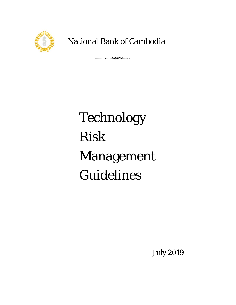

National Bank of Cambodia

 $\begin{picture}(180,10) \put(0,0){\line(1,0){150}} \put(0,0){\line(1,0){150}} \put(0,0){\line(1,0){150}} \put(0,0){\line(1,0){150}} \put(0,0){\line(1,0){150}} \put(0,0){\line(1,0){150}} \put(0,0){\line(1,0){150}} \put(0,0){\line(1,0){150}} \put(0,0){\line(1,0){150}} \put(0,0){\line(1,0){150}} \put(0,0){\line(1,0){150}} \put(0,0){\line($ 

# Technology R Risk Management **Guidelines**

July 2019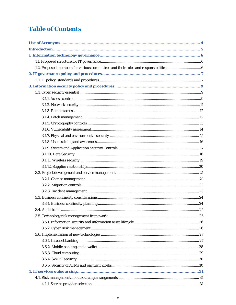# **Table of Contents**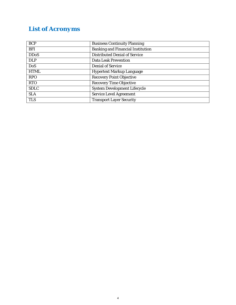# *List of Acronyms*

| <b>BCP</b>  | <b>Business Continuity Planning</b>      |
|-------------|------------------------------------------|
| <b>BFI</b>  | <b>Banking and Financial Institution</b> |
| <b>DDoS</b> | <b>Distributed Denial of Service</b>     |
| <b>DLP</b>  | <b>Data Leak Prevention</b>              |
| <b>DoS</b>  | <b>Denial of Service</b>                 |
| <b>HTML</b> | <b>Hypertext Markup Language</b>         |
| <b>RPO</b>  | <b>Recovery Point Objective</b>          |
| <b>RTO</b>  | <b>Recovery Time Objective</b>           |
| <b>SDLC</b> | <b>System Development Lifecycle</b>      |
| <b>SLA</b>  | <b>Service Level Agreement</b>           |
| <b>TLS</b>  | <b>Transport Layer Security</b>          |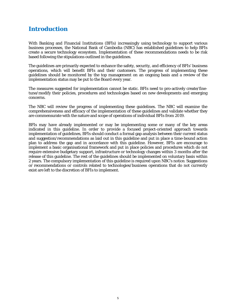## *Introduction*

With Banking and Financial Institutions (BFIs) increasingly using technology to support various business processes, the National Bank of Cambodia (NBC) has established guidelines to help BFIs create a secure technology ecosystem. Implementation of these recommendations needs to be risk based following the stipulations outlined in the guidelines.

The guidelines are primarily expected to enhance the safety, security, and efficiency of BFIs' business operations, which will benefit BFIs and their customers. The progress of implementing these guidelines should be monitored by the top management on an ongoing basis and a review of the implementation status may be put to the Board every year.

The measures suggested for implementation cannot be static. BFIs need to pro-actively create/finetune/modify their policies, procedures and technologies based on new developments and emerging concerns.

The NBC will review the progress of implementing these guidelines. The NBC will examine the comprehensiveness and efficacy of the implementation of these guidelines and validate whether they are commensurate with the nature and scope of operations of individual BFIs from 2019.

BFIs may have already implemented or may be implementing some or many of the key areas indicated in this guideline. In order to provide a focused project-oriented approach towards implementation of guidelines, BFIs should conduct a formal gap analysis between their current status and suggestion/recommendations as laid out in this guideline and put in place a time-bound action plan to address the gap and in accordance with this guideline. However, BFIs are encourage to implement a basic organisational framework and put in place policies and procedures which do not require extensive budgetary support, infrastructure or technology changes within 3 months after the release of this guideline. The rest of the guidelines should be implemented on voluntary basis within 2 years. The compulsory implementation of this guideline is required upon NBC's notice. Suggestions or recommendations or controls related to technologies/business operations that do not currently exist are left to the discretion of BFIs to implement.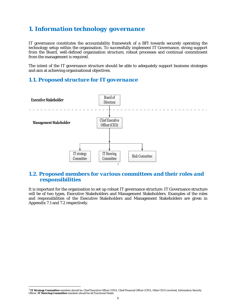# *1. Information technology governance*

IT governance constitutes the accountability framework of a BFI towards securely operating the technology setup within the organisation. To successfully implement IT Governance, strong support from the Board, well-defined organisation structure, robust processes and continual commitment from the management is required.

The intent of the IT governance structure should be able to adequately support business strategies and aim at achieving organisational objectives.

## *1.1. Proposed structure for IT governance*



## *1.2. Proposed members for various committees and their roles and responsibilities*

It is important for the organisation to set up robust IT governance structure. IT Governance structure will be of two types, Executive Stakeholders and Management Stakeholders. Examples of the roles and responsibilities of the Executive Stakeholders and Management Stakeholders are given in Appendix 7.1 and 7.2 respectively.

 $\overline{a}$ 

<sup>1</sup> **IT Strategy Committee** members should be: Chief Executive Officer (CEO), Chief Financial Officer (CFO), Other CXO's involved, Information Security Officer. **IT Steering Committee** members should be all Functional Heads.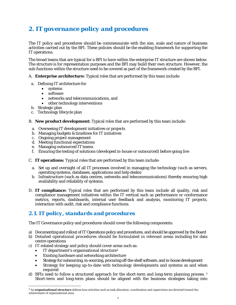# *2. IT governance policy and procedures*

The IT policy and procedures should be commensurate with the size, scale and nature of business activities carried out by the BFI. These policies should be the enabling framework for supporting the IT operations.

The broad teams that are typical for a BFI to have within the enterprise IT structure are shown below. The structure is for representation purposes and the BFI may build their own structure. However, the sub-functions within the structure need to be covered as part of the framework created by the BFI.

A. **Enterprise architecture:** Typical roles that are performed by this team include:

- a. Defining IT architecture for
	- systems
	- software
	- networks and telecommunications, and
	- other technology interventions
- b. Strategic plan

 $\overline{a}$ 

- c. Technology lifecycle plan
- B. **New product development:** Typical roles that are performed by this team include:
	- a. Overseeing IT development initiatives or projects
	- b. Managing budgets & timelines for IT initiatives
	- c. Ongoing project management
	- d. Meeting functional expectations
	- e. Managing outsourced IT teams
	- f. Ensuring the testing of solutions (developed in-house or outsourced) before going live
- C. **IT operations:** Typical roles that are performed by this team include:
	- a. Set up and oversight of all IT processes involved in managing the technology (such as servers, operating systems, databases, applications and help desks)
	- b. Infrastructure (such as data centres, networks and telecommunications) thereby ensuring high availability and reliability of systems.
- D. **IT compliance:** Typical roles that are performed by this team include all quality, risk and compliance management initiatives within the IT vertical such as performance or conformance metrics, reports, dashboards, internal user feedback and analysis, monitoring IT projects, interaction with audit, risk and compliance functions.

## *2.1. IT policy, standards and procedures*

The IT Governance policy and procedures should cover the following components:

- a) Documenting and rollout of IT Operations policy and procedures, and should be approved by the Board
- b) Detailed operational procedures should be formulated in relevant areas including for data centre operations
- c) IT-related strategy and policy should cover areas such as:
	- IT department's organisational structure<sup>2</sup>
	- Existing hardware and networking architecture
	- Strategy for outsourcing, in-sourcing, procuring off-the-shelf software, and in-house development
	- Strategy for keeping up-to-date with technology developments and systems as and when required
- d) BFIs need to follow a structured approach for the short-term and long-term planning process. 3 Short-term and long-term plans should be aligned with the business strategies taking into

<sup>2</sup> An **organisational structure** defines how activities such as task allocation, coordination and supervision are directed toward the achievement of organisational aims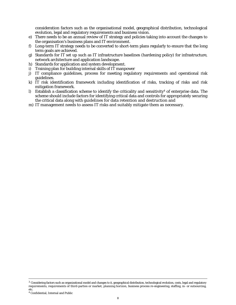consideration factors such as the organisational model, geographical distribution, technological evolution, legal and regulatory requirements and business vision.

- e) There needs to be an annual review of IT strategy and policies taking into account the changes to the organisation's business plans and IT environment.
- f) Long-term IT strategy needs to be converted to short-term plans regularly to ensure that the long term goals are achieved.
- g) Standards for IT set up such as IT infrastructure baselines (hardening policy) for infrastructure, network architecture and application landscape.
- h) Standards for application and system development.
- i) Training plan for building internal skills of IT manpower
- j) IT compliance guidelines, process for meeting regulatory requirements and operational risk guidelines.
- k) IT risk identification framework including identification of risks, tracking of risks and risk mitigation framework.
- l) Establish a classification scheme to identify the criticality and sensitivity<sup>4</sup> of enterprise data. The scheme should include factors for identifying critical data and controls for appropriately securing the critical data along with guidelines for data retention and destruction and
- m) IT management needs to assess IT risks and suitably mitigate them as necessary.

 $3$  Considering factors such as organizational model and changes to it, geographical distribution, technological evolution, costs, legal and regulatory requirements, requirements of third-parties or market, planning horizon, business process re-engineering, staffing, in- or outsourcing, etc.

<sup>4</sup> Confidential, Internal and Public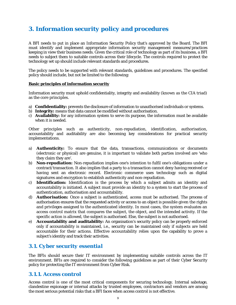# *3. Information security policy and procedures*

A BFI needs to put in place an Information Security Policy that's approved by the Board. The BFI must identify and implement appropriate information security management measures/practices keeping in view their business needs. Given the critical role of technology as part of its business, a BFI needs to subject them to suitable controls across their lifecycle. The controls required to protect the technology set up should include relevant standards and procedures.

The policy needs to be supported with relevant standards, guidelines and procedures. The specified policy should include, but not be limited to the following:

#### **Basic principles of information security**

Information security must uphold confidentiality, integrity and availability (known as the CIA triad) as the core principles.

- a) **Confidentiality:** prevents the disclosure of information to unauthorised individuals or systems.
- b) **Integrity:** means that data cannot be modified without authorisation.
- c) **Availability:** for any information system to serve its purpose, the information must be available when it is needed.

Other principles such as authenticity, non-repudiation, identification, authorisation, accountability and auditability are also becoming key considerations for practical security implementations.

- a) **Authenticity:** To ensure that the data, transactions, communications or documents (electronic or physical) are genuine, it is important to validate both parties involved are 'who they claim they are'.
- b) **Non-repudiation:** Non-repudiation implies one's intention to fulfil one's obligations under a contract/transaction. It also implies that a party to a transaction cannot deny having received or having sent an electronic record. Electronic commerce uses technology such as digital signatures and encryption to establish authenticity and non-repudiation.
- c) **Identification:** Identification is the process by which a subject admits an identity and accountability is initiated. A subject must provide an identity to a system to start the process of authentication, authorisation and accountability.
- d) **Authorisation:** Once a subject is authenticated, access must be authorised. The process of authorisation ensures that the requested activity or access to an object is possible given the rights and privileges assigned to the authenticated identity. In most cases, the system evaluates an access control matrix that compares the subject, the object, and the intended activity. If the specific action is allowed, the subject is authorised. Else, the subject is not authorised.
- e) **Accountability and auditability:** An organisation's security policy can be properly enforced only if accountability is maintained, i.e., security can be maintained only if subjects are held accountable for their actions. Effective accountability relies upon the capability to prove a subject's identity and track their activities.

## *3.1. Cyber security essential*

The BFIs should secure their IT environment by implementing suitable controls across the IT environment. BFIs are required to consider the following guidelines as part of their Cyber Security policy for protecting the IT environment from Cyber Risk.

## *3.1.1. Access control*

Access control is one of the most critical components for securing technology. Internal sabotage, clandestine espionage or internal attacks by trusted employees, contractors and vendors are among the most serious potential risks that a BFI faces when access control is not effective.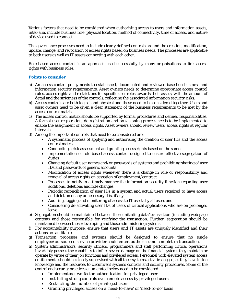Various factors that need to be considered when authorising access to users and information assets, inter-alia, include business role, physical location, method of connectivity, time of access, and nature of device used to connect.

The governance processes need to include clearly defined controls around the creation, modification, update, change, and revocation of access rights based on business needs. The processes are applicable to both users as well as IT assets connecting with each other.

Role-based access control is an approach used successfully by many organisations to link access rights with business roles.

#### **Points to consider**

- a) An access control policy needs to established, documented and reviewed based on business and information security requirements. Asset owners needs to determine appropriate access control rules, access rights and restrictions for specific user roles towards their assets, with the amount of detail and the strictness of the controls, reflecting the associated information security risks.
- b) Access controls are both logical and physical and these need to be considered together. Users and asset owners need to be given a clear statement of the business requirements to be met by the access control matrix.
- c) The access control matrix should be supported by formal procedures and defined responsibilities. A formal user registration, de-registration and provisioning process needs to be implemented to enable the assignment of access rights. Asset owners should review users' access rights at regular intervals.
- d) Among the important controls that need to be considered are:
	- A systematic process of applying and authorising the creation of user IDs and the access control matrix
	- Conducting a risk assessment and granting access rights based on the same.
	- Implementation of role-based access control designed to ensure effective segregation of duties
	- Changing default user names and/or passwords of systems and prohibiting sharing of user IDs and passwords of generic accounts
	- Modification of access rights whenever there is a change in role or responsibility and removal of access rights on cessation of employment/contract
	- Processes to notify in a timely manner the information security function regarding user additions, deletions and role changes
	- Periodic reconciliation of user IDs in a system and actual users required to have access and deletion of any unnecessary IDs, if any
	- Auditing, logging and monitoring of access to IT assets by all users and
	- Considering de-activating user IDs of users of critical applications who are on prolonged leave
- e) Segregation should be maintained between those initiating data/transaction (including web page content) and those responsible for verifying the transaction. Further, segregation should be maintained between those developing and those administering systems.
- f) For accountability purpose, ensure that users and IT assets are uniquely identified and their actions are auditable.
- g) Transaction processes and systems should be designed to ensure that no single employee/outsourced service provider could enter, authorise and complete a transaction.
- h) System administrators, security officers, programmers and staff performing critical operations invariably possess the capability to inflict severe damage on the financial systems they maintain or operate by virtue of their job functions and privileged access. Personnel with elevated system access entitlements should be closely supervised with all their systems activities logged, as they have inside knowledge and the resources to circumvent systems controls and security procedures. Some of the control and security practices enumerated below need to be considered:
	- Implementing two-factor authentication for privileged users
	- Instituting strong controls over remote access by privileged users
	- Restricting the number of privileged users
	- Granting privileged access on a 'need-to-have' or 'need-to-do' basis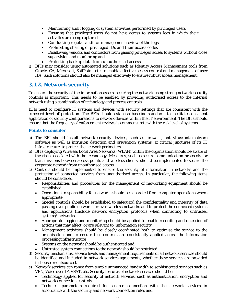- Maintaining audit logging of system activities performed by privileged users
- Ensuring that privileged users do not have access to systems logs in which their activities are being captured
- Conducting regular audit or management review of the logs
- Prohibiting sharing of privileged IDs and their access codes
- Disallowing vendors and contractors from gaining privileged access to systems without close supervision and monitoring and
- Protecting backup data from unauthorised access
- i) BFIs may consider using automated solutions such as Identity Access Management tools from Oracle, CA, Microsoft, SailPoint, etc. to enable effective access control and management of user IDs. Such solutions should also be managed effectively to ensure robust access management.

## *3.1.2. Network security*

To ensure the security of the information assets, securing the network using strong network security controls is important. This needs to be enabled by providing authorised access to the internal network using a combination of technology and process controls.

BFIs need to configure IT systems and devices with security settings that are consistent with the expected level of protection. The BFIs should establish baseline standards to facilitate consistent application of security configurations to network devices within the IT environment. The BFIs should ensure that the frequency of enforcement reviews is commensurate with the risk level of systems.

#### **Points to consider**

- a) The BFI should install network security devices, such as firewalls, anti-virus/anti-malware software as well as intrusion detection and prevention systems, at critical junctures of its IT infrastructure, to protect the network perimeters.
- b) BFIs deploying Wireless Local Area Networks (WLAN) within the organisation should be aware of the risks associated with the technology. Measures, such as secure communication protocols for transmissions between access points and wireless clients, should be implemented to secure the corporate network from unauthorised access.
- c) Controls should be implemented to ensure the security of information in networks and the protection of connected services from unauthorised access. In particular, the following items should be considered:
	- Responsibilities and procedures for the management of networking equipment should be established
	- Operational responsibility for networks should be separated from computer operations where appropriate
	- Special controls should be established to safeguard the confidentiality and integrity of data passing over public networks or over wireless networks and to protect the connected systems and applications (include network encryption protocols when connecting to untrusted systems/ networks.
	- Appropriate logging and monitoring should be applied to enable recording and detection of actions that may affect, or are relevant to, information security
	- Management activities should be closely coordinated both to optimise the service to the organisation and to ensure that controls are consistently applied across the information processing infrastructure
	- Systems on the network should be authenticated and
	- Untrusted system connections to the network should be restricted
- d) Security mechanisms, service levels and management requirements of all network services should be identified and included in network services agreements, whether these services are provided in-house or outsourced.
- e) Network services can range from simple unmanaged bandwidth to sophisticated services such as VPN, Voice over IP, VSAT, etc. Security features of network services should be:
	- Technology applied for security of network services, such as authentication, encryption and network connection controls
	- Technical parameters required for secured connection with the network services in accordance with the security and network connection rules and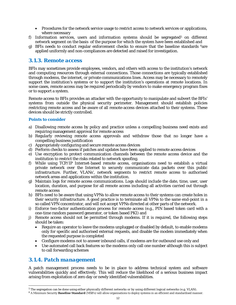- Procedures for the network service usage to restrict access to network services or applications, where necessary
- f) Information services, users and information systems should be segregated<sup>5</sup> on different network segment on the basis of the purpose for which the system have been established and
- g) BFIs needs to conduct regular enforcement checks to ensure that the baseline standards  $6$ are applied uniformly and non-compliances are detected and raised for investigation.

### *3.1.3. Remote access*

BFIs may sometimes provide employees, vendors, and others with access to the institution's network and computing resources through external connections. Those connections are typically established through modems, the internet, or private communications lines. Access may be necessary to remotely support the institution's systems or to support the institution's operations at remote locations. In some cases, remote access may be required periodically by vendors to make emergency program fixes or to support a system.

Remote access to BFIs provides an attacker with the opportunity to manipulate and subvert the BFIs' systems from outside the physical security perimeter. Management should establish policies restricting remote access and be aware of all remote-access devices attached to their systems. These devices should be strictly controlled.

#### **Points to consider**

- a) Disallowing remote access by policy and practice unless a compelling business need exists and requiring management approval for remote access
- b) Regularly reviewing remote access approvals and withdraw those that no longer have a compelling business justification
- c) Appropriately configuring and secure remote access devices
- d) Perform checks to assess if patches and updates have been applied to remote access devices
- e) Use encryption to protect communication channels between the remote access device and the institution to restrict the risks related to network spoofing.
- f) While using TCP/IP Internet-based remote access, organisations need to establish a virtual private network over the Internet to securely communicate data packets over this public infrastructure. Further, VLANs', network segments to restrict remote access to authorised network areas and applications within the institution.
- g) Maintain logs for remote access communications. Logs should include the date, time, user, user location, duration, and purpose for all remote access including all activities carried out through remote access
- h) BFIs need to be aware that using VPNs to allow remote access to their systems can create holes in their security infrastructure. A good practice is to terminate all VPNs to the same end-point in a so called VPN concentrator, and will not accept VPNs directed at other parts of the network.
- i) Enforce two-factor authentication process for remote access (e.g., PIN based token card with a one-time random password generator, or token based PKI) and
- j) Remote access should not be permitted through modems. If it is required, the following steps should be taken:
	- Require an operator to leave the modems unplugged or disabled by default, to enable modems only for specific and authorised external requests, and disable the modem immediately when the requested purpose is completed
	- Configure modems not to answer inbound calls, if modems are for outbound use only and
	- Use automated call back features so the modems only call one number although this is subject to call forwarding schemes

## *3.1.4. Patch management*

 $\overline{a}$ 

A patch management process needs to be in place to address technical system and software vulnerabilities quickly and effectively. This will reduce the likelihood of a serious business impact arising from exploitation of zero day or newly identified vulnerabilities.

 $5$  The segregation can be done using either physically different networks or by using different logical networks (e.g. VLAN).

<sup>6</sup> A Minimum Security **Baseline Standard** (MSB's) will allow organisations to deploy systems in an efficient and standardised manner.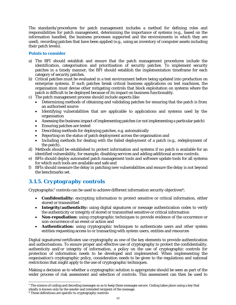The standards/procedures for patch management includes a method for defining roles and responsibilities for patch management, determining the importance of systems (e.g., based on the information handled, the business processes supported and the environments in which they are used), recording patches that have been applied (e.g., using an inventory of computer assets including their patch levels).

#### **Points to consider**

- a) The BFI should establish and ensure that the patch management procedures include the identification, categorisation and prioritisation of security patches. To implement security patches in a timely manner, the BFI should establish the implementation timeframe for each category of security patches.
- b) Critical patches must be evaluated in a test environment before being updated into production on enterprise systems. If such patches break critical business applications on test machines, the organisation must devise other mitigating controls that block exploitation on systems where the patch is difficult to be deployed because of its impact on business functionality.
- c) The patch management process should include aspects like:
	- Determining methods of obtaining and validating patches for ensuring that the patch is from an authorised source
	- Identifying vulnerabilities that are applicable to applications and systems used by the organisation
	- Assessing the business impact of implementing patches (or not implementing a particular patch)
	- Ensuring patches are tested
	- Describing methods for deploying patches, e.g. automatically
	- Reporting on the status of patch deployment across the organisation and
	- Including methods for dealing with the failed deployment of a patch (e.g., redeployment of the patch).
- d) Methods should be established to protect information and systems if no patch is available for an identified vulnerability, for example, disabling services and adding additional access controls.
- e) BFIs should deploy automated patch management tools and software update tools for all systems for which such tools are available and safe and
- f) BFIs should measure the delay in patching new vulnerabilities and ensure the delay is not beyond the benchmarks set.

## *3.1.5. Cryptography controls*

Cryptographic<sup>7</sup> controls can be used to achieve different information security objectives<sup>8</sup>;

- **Confidentiality:** encrypting information to protect sensitive or critical information, either stored or transmitted
- **Integrity/authenticity:** using digital signatures or message authentication codes to verify the authenticity or integrity of stored or transmitted sensitive or critical information
- **Non-repudiation:** using cryptographic techniques to provide evidence of the occurrence or non-occurrence of an event or action and
- **Authentication:** using cryptographic techniques to authenticate users and other system entities requesting access to or transacting with system users, entities and resources

Digital signatures/certificates use cryptography as one of the key elements to provide authentication and authorisations. To ensure proper and effective use of cryptography to protect the confidentiality, authenticity and/or integrity of information, a policy on the use of cryptographic controls for protection of information needs to be developed and implemented. When implementing the organisation's cryptographic policy, consideration needs to be given to the regulations and national restrictions that might apply to the use of cryptographic techniques.

Making a decision as to whether a cryptographic solution is appropriate should be seen as part of the wider process of risk assessment and selection of controls. This assessment can then be used to

 $\overline{a}$ 

<sup>&</sup>lt;sup>7</sup> The science of coding and decoding messages so as to keep these messages secure. Coding takes place using a key that ideally is known only by the sender and intended recipient of the message.

<sup>8</sup> These definitions are specific to cryptography controls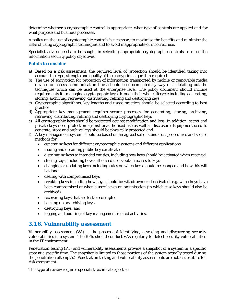determine whether a cryptographic control is appropriate, what type of controls are applied and for what purpose and business processes.

A policy on the use of cryptographic controls is necessary to maximise the benefits and minimise the risks of using cryptographic techniques and to avoid inappropriate or incorrect use.

Specialist advice needs to be sought in selecting appropriate cryptographic controls to meet the information security policy objectives.

#### **Points to consider**

- a) Based on a risk assessment, the required level of protection should be identified taking into account the type, strength and quality of the encryption algorithm required
- b) The use of encryption for protection of information transported by mobile or removable media devices or across communication lines should be documented by way of a detailing out the techniques which can be used at the enterprise level. The policy document should include requirements for managing cryptographic keys through their whole lifecycle including generating, storing, archiving, retrieving, distributing, retiring and destroying keys
- c) Cryptographic algorithms, key lengths and usage practices should be selected according to best practice
- d) Appropriate key management requires secure processes for generating, storing, archiving, retrieving, distributing, retiring and destroying cryptographic keys
- e) All cryptographic keys should be protected against modification and loss. In addition, secret and private keys need protection against unauthorised use as well as disclosure. Equipment used to generate, store and archive keys should be physically protected and
- f) A key management system should be based on an agreed set of standards, procedures and secure methods for:
	- generating keys for different cryptographic systems and different applications
	- issuing and obtaining public key certificates
	- distributing keys to intended entities, including how keys should be activated when received
	- storing keys, including how authorised users obtain access to keys
	- changing or updating keys including rules on when keys should be changed and how this will be done
	- dealing with compromised keys
	- revoking keys including how keys should be withdrawn or deactivated, e.g. when keys have been compromised or when a user leaves an organisation (in which case keys should also be archived)
	- recovering keys that are lost or corrupted
	- backing up or archiving keys
	- destroying keys, and
	- logging and auditing of key management related activities.

## *3.1.6. Vulnerability assessment*

Vulnerability assessment (VA) is the process of identifying, assessing and discovering security vulnerabilities in a system. The BFIs should conduct VAs regularly to detect security vulnerabilities in the IT environment.

Penetration testing (PT) and vulnerability assessments provide a snapshot of a system in a specific state at a specific time. The snapshot is limited to those portions of the system actually tested during the penetration attempt(s). Penetration testing and vulnerability assessments are not a substitute for risk assessment.

This type of review requires specialist technical expertise.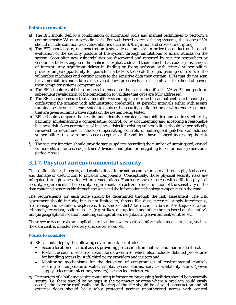#### **Points to consider**

- a) The BFI should deploy a combination of automated tools and manual techniques to perform a comprehensive VA on a periodic basis. For web-based external facing systems, the scope of VA should include common web vulnerabilities such as SQL injection and cross-site scripting.
- b) The BFI should carry out penetration tests at least annually, in order to conduct an in-depth evaluation of the security posture of the system through simulations of actual attacks on the system. Soon after new vulnerabilities are discovered and reported by security researchers or vendors, attackers engineer the malicious exploit code and then launch that code against targets of interest. Any significant delays in finding or fixing software with critical vulnerabilities provides ample opportunity for persistent attackers to break through, gaining control over the vulnerable machines and getting access to the sensitive data they contain. BFIs that do not scan for vulnerabilities and address discovered flaws proactively face a significant likelihood of having their computer systems compromised.
- c) The BFI should establish a process to remediate the issues identified in VA & PT and perform subsequent revalidation of the remediation to validate that gaps are fully addressed.
- d) The BFIs should ensure that vulnerability scanning is performed in an authenticated mode (i.e., configuring the scanner with administrator credentials) at periodic intervals either with agents running locally on each end system to analyse the security configuration or with remote scanners that are given administrative rights on the system being tested.
- e) BFIs should compare the results and identify repeated vulnerabilities and address either by patching, implementing a compensating control, or by documenting and accepting a reasonable business risk. Such acceptance of business risks for existing vulnerabilities should be periodically reviewed to determine if newer compensating controls or subsequent patches can address vulnerabilities that were previously accepted, or if conditions have changed increasing the risk and
- f) The security function should provide status updates regarding the number of unmitigated, critical vulnerabilities, for each department/division, and plan for mitigating to senior management on a periodic basis.

## *3.1.7. Physical and environmental security*

The confidentiality, integrity, and availability of information can be impaired through physical access and damage or destruction to physical components. Conceptually, those physical security risks are mitigated through zone-oriented implementations. Zones are physical areas with differing physical security requirements. The security requirements of each zone are a function of the sensitivity of the data contained or accessible through the zone and the information technology components in the zone.

The requirements for each zone should be determined through the risk assessment. The risk assessment should include, but is not limited to, threats like dust, electrical supply interference, electromagnetic radiation, explosives, fire, smoke, theft/destruction, vibration/earthquake, water, criminals, terrorism, political issues (e.g. strikes, disruptions) and other threats based on the entity's unique geographical location, building configuration, neighbouring environment/entities, etc.

These security controls are applicable to locations where critical information assets are kept, such as the data centre, disaster recovery site, server room, etc.

#### **Points to consider**

- a) BFIs should deploy the following environmental controls:
	- Secure location of critical assets providing protection from natural and man-made threats
	- Restrict access to sensitive areas like data centres, which also includes detailed procedures for handling access by staff, third party providers and visitors and
	- Monitoring mechanisms for the detection of compromises of environmental controls relating to temperature, water, smoke, access alarms, service availability alerts (power supply, telecommunications, servers), access log reviews, etc.
- b) Perimeters of a building or site containing information processing facilities should be physically secure (i.e. there should be no gaps in the perimeter or areas where a break-in could easily occur); the exterior roof, walls and flooring of the site should be of solid construction and all external doors should be suitably protected against unauthorised access with control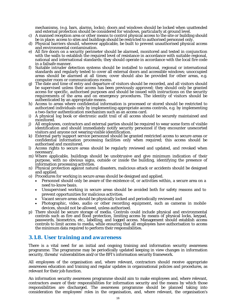mechanisms, (e.g. bars, alarms, locks); doors and windows should be locked when unattended and external protection should be considered for windows, particularly at ground level.

- c) A manned reception area or other means to control physical access to the site or building should be in place; access to sites and buildings should be restricted to authorised personnel only.
- d) Physical barriers should, wherever applicable, be built to prevent unauthorised physical access and environmental contamination.
- e) All fire doors on a security perimeter should be alarmed, monitored and tested in conjunction with the walls to establish the required level of resistance in accordance with suitable regional, national and international standards; they should operate in accordance with the local fire code in a failsafe manner.
- f) Suitable intruder detection systems should be installed to national, regional or international standards and regularly tested to cover all external doors and accessible windows; unoccupied areas should be alarmed at all times; cover should also be provided for other areas, e.g. computer room or communications rooms.
- g) The date and time of entry and departure of visitors should be recorded, and all visitors should be supervised unless their access has been previously approved; they should only be granted access for specific, authorised purposes and should be issued with instructions on the security requirements of the area and on emergency procedures. The identity of visitors should be authenticated by an appropriate means.
- h) Access to areas where confidential information is processed or stored should be restricted to authorized individuals only by implementing appropriate access controls, e.g. by implementing a two-factor authentication mechanism such as an access card.
- i) A physical log book or electronic audit trail of all access should be securely maintained and monitored.
- j) All employees, contractors and external parties should be required to wear some form of visible identification and should immediately notify security personnel if they encounter unescorted visitors and anyone not wearing visible identification.
- k) External party support service personnel should be granted restricted access to secure areas or confidential information processing facilities only when required; this access should be authorised and monitored.
- l) Access rights to secure areas should be regularly reviewed and updated, and revoked when necessary.
- m) Where applicable, buildings should be unobtrusive and give minimum indication of their purpose, with no obvious signs, outside or inside the building, identifying the presence of information processing activities.
- n) Physical protection against natural disasters, malicious attack or accidents should be designed and applied.
- o) Procedures for working in secure areas should be designed and applied.
	- Personnel should only be aware of the existence of, or activities within, a secure area on a need to-know basis.
	- Unsupervised working in secure areas should be avoided both for safety reasons and to prevent opportunities for malicious activities.
	- Vacant secure areas should be physically locked and periodically reviewed and
	- Photographic, video, audio or other recording equipment, such as cameras in mobile devices, should not be allowed, unless authorised.
- p) There should be secure storage of media. Controls could include physical and environmental controls such as fire and flood protection, limiting access by means of physical locks, keypad, passwords, biometrics, etc., labelling, and logged access. Management should establish access controls to limit access to media, while ensuring that all employees have authorisation to access the minimum data required to perform their responsibilities.

## *3.1.8. User training and awareness*

There is a vital need for an initial and ongoing training and information security awareness programme. The programme may be periodically updated keeping in view changes in information security, threats/ vulnerabilities and/or the BFI's information security framework.

All employees of the organisation and, where relevant, contractors should receive appropriate awareness education and training and regular updates in organisational policies and procedures, as relevant for their job function.

An information security awareness programme should aim to make employees and, where relevant, contractors aware of their responsibilities for information security and the means by which those responsibilities are discharged. The awareness programme should be planned taking into consideration the employees' roles in the organisation, and, where relevant, the organisation's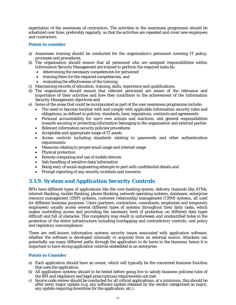expectation of the awareness of contractors. The activities in the awareness programme should be scheduled over time, preferably regularly, so that the activities are repeated and cover new employees and contractors.

#### **Points to consider**

- a) Awareness training should be conducted for the organisation's personnel covering IT policy, processes and procedures.
- b) The organisation should ensure that all personnel who are assigned responsibilities within Information Security Management are trained to perform the required tasks by:
	- determining the necessary competencies for personnel
	- training them for the required competencies, and
	- evaluating the effectiveness of the training.
- c) Maintaining records of education, training, skills, experience and qualifications.
- d) The organisation should ensure that relevant personnel are aware of the relevance and importance of their activities and how they contribute to the achievement of the Information Security Management objectives and
- e) Some of the areas that could be incorporated as part of the user awareness programme include:
	- The need to become familiar with and comply with applicable information security rules and obligations, as defined in policies, standards, laws, regulations, contracts and agreements
	- Personal accountability for one's own actions and inactions, and general responsibilities towards securing or protecting information belonging to the organisation and external parties
	- Relevant information security policies/procedures
	- Acceptable and appropriate usage of IT assets
	- Access controls including standards relating to passwords and other authentication requirements
	- Measures relating to proper email usage and internet usage
	- Physical protection
	- Remote computing and use of mobile devices
	- Safe handling of sensitive data/information
	- Being wary of social engineering attempts to part with confidential details and
	- Prompt reporting of any security incidents and concerns

## *3.1.9. System and Application Security Controls*

BFIs have different types of applications like the core banking system, delivery channels like ATMs, internet Banking, mobile Banking, phone Banking, network operating systems, databases, enterprise resource management (ERP) systems, customer relationship management (CRM) systems, all used for different business purposes. Users (partners, contractors, consultants, employees and temporary employees) usually access several different types of systems throughout their daily tasks, which makes controlling access and providing the necessary level of protection on different data types difficult and full of obstacles. This complexity may result in unforeseen and unidentified holes in the protection of the entire infrastructure including overlapping and contradictory controls, and policy and regulatory noncompliance.

There are well-known information systems security issues associated with application software, whether the software is developed internally or acquired from an external source. Attackers can potentially use many different paths through the application to do harm to the business; hence it is important to have strong application controls embedded in an enterprise.

#### **Points to Consider**

- a) Each application should have an owner, which will typically be the concerned business function that uses the application.
- b) All application systems should to be tested before going live to satisfy business policies/rules of the BFI and regulatory and legal prescriptions/requirements are met.
- c) Source code review should be conducted for all critical applications; at a minimum, this should be after every major update (e.g. any software update released by the vendor categorised as major, any update requiring downtime for the application, etc.).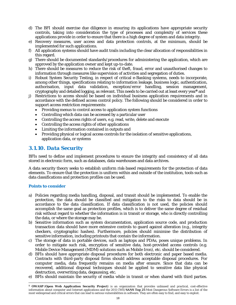- d) The BFI should exercise due diligence in ensuring its applications have appropriate security controls, taking into consideration the type of processes and complexity of services these applications provide in order to ensure that there is a high degree of system and data integrity.
- e) Recovery measures, user access and data protection controls, at the minimum, should be implemented for such applications.
- f) All application systems should have audit trails including the clear allocation of responsibilities in this regard.
- g) There should be documented standards/procedures for administering the application, which are approved by the application owner and kept up-to-date.
- h) There should be measures to reduce the risk of theft, fraud, error and unauthorised changes to information through measures like supervision of activities and segregation of duties.
- i) Robust System Security Testing, in respect of critical e-Banking systems, needs to incorporate, among other things, specifications relating to information leakage, business logic, authentication, authorisation, input data validation, exception/error handling, session management, cryptography and detailed logging, as relevant. This needs to be carried out at least every year**<sup>9</sup>** and
- j) Restrictions to access should be based on individual business application requirements and in accordance with the defined access control policy. The following should be considered in order to support access restriction requirements:
	- Providing menus to control access to application system functions
	- Controlling which data can be accessed by a particular user
	- Controlling the access rights of users, e.g. read, write, delete and execute
	- Controlling the access rights of other applications
	- Limiting the information contained in outputs and
	- Providing physical or logical access controls for the isolation of sensitive applications, application data, or systems

## *3.1.10. Data Security*

BFIs need to define and implement procedures to ensure the integrity and consistency of all data stored in electronic form, such as databases, data warehouses and data archives.

A data security theory seeks to establish uniform risk-based requirements for the protection of data elements. To ensure that the protection is uniform within and outside of the institution, tools such as data classifications and protection profiles can be used.

#### **Points to consider**

 $\overline{a}$ 

- a) Policies regarding media handling, disposal, and transit should be implemented. To enable the protection, the data should be classified and mitigation to the risks to data should be in accordance to the data classification. If data classification is not used, the policies should accomplish the same goal as protection profiles, which is to deliver the same degree of residual risk without regard to whether the information is in transit or storage, who is directly controlling the data, or where the storage may be.
- b) Sensitive information such as system documentation, application source code, and production transaction data should have more extensive controls to guard against alteration (e.g., integrity checkers, cryptographic hashes). Furthermore, policies should minimise the distribution of sensitive information, including printouts that contain the information.
- c) The storage of data in portable devices, such as laptops and PDAs, poses unique problems. In order to mitigate such risk, encryption of sensitive data, host-provided access controls (e.g. Mobile Device Management (MDM) solutions such as Mobile Iron), etc. should be considered.
- d) BFIs should have appropriate disposal procedures for both electronic and paper based media. Contracts with third-party disposal firms should address acceptable disposal procedures. For computer media, data frequently remains on media after erasure. Since that data can be recovered, additional disposal techniques should be applied to sensitive data like physical destruction, overwriting data, degaussing, etc.
- e) BFIs should maintain the security of media while in transit or when shared with third parties.

<sup>9</sup> **OWASP** (**Open Web Application Security Project**) is an organization that provides unbiased and practical, cost-effective information about computer and Internet applications and the 2011 CWE/**SANS Top 25** Most Dangerous Software Errors is a list of the most widespread and critical errors that can lead to serious vulnerabilities in software. They are often easy to find, and easy to exploit.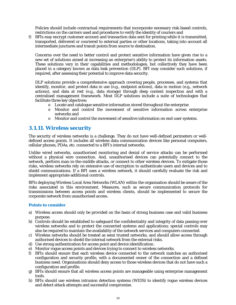Policies should include contractual requirements that incorporate necessary risk-based controls, restrictions on the carriers used and procedures to verify the identity of couriers and

f) BFIs may encrypt customer account and transaction data sent for printing while it is transmitted, transported, delivered or couriered to external parties or other locations, taking into account all intermediate junctures and transit points from source to destination.

Concerns over the need to better control and protect sensitive information have given rise to a new set of solutions aimed at increasing an enterprise's ability to protect its information assets. These solutions vary in their capabilities and methodologies, but collectively they have been placed in a category known as data leak prevention (DLP). BFI may consider such solutions, if required, after assessing their potential to improve data security.

DLP solutions provide a comprehensive approach covering people, processes, and systems that identify, monitor, and protect data in use (e.g., endpoint actions), data in motion (e.g., network actions), and data at rest (e.g., data storage) through deep content inspection and with a centralised management framework. Most DLP solutions include a suite of technologies that facilitate three key objectives:

- $\circ$  Locate and catalogue sensitive information stored throughout the enterprise
- o Monitor and control the movement of sensitive information across enterprise networks and
- o Monitor and control the movement of sensitive information on end-user systems.

## *3.1.11. Wireless security*

The security of wireless networks is a challenge. They do not have well-defined perimeters or welldefined access points. It includes all wireless data communication devices like personal computers, cellular phones, PDAs, etc. connected to a BFI's internal networks.

Unlike wired networks, unauthorised monitoring and denial of service attacks can be performed without a physical wire connection. And, unauthorised devices can potentially connect to the network, perform man-in-the-middle attacks, or connect to other wireless devices. To mitigate those risks, wireless networks rely on extensive use of encryption to authenticate users and devices and to shield communications. If a BFI uses a wireless network, it should carefully evaluate the risk and implement appropriate additional controls.

BFIs deploying Wireless Local Area Networks (WLAN) within the organisation should be aware of the risks associated in this environment. Measures, such as secure communication protocols for transmissions between access points and wireless clients, should be implemented to secure the corporate network from unauthorised access.

#### **Points to consider**

- a) Wireless access should only be provided on the basis of strong business case and valid business purpose.
- b) Controls should be established to safeguard the confidentiality and integrity of data passing over wireless networks and to protect the connected systems and applications; special controls may also be required to maintain the availability of the network services and computers connected.
- c) Wireless networks should be treated as semi trusted networks, and should allow access through authorised devices to shield the internal network from the external risks.
- d) Use strong authentication for access point and device identification.
- e) Monitor rogue access points and devices trying to connect to wireless networks.
- f) BFIs should ensure that each wireless device connected to the network matches an authorised configuration and security profile, with a documented owner of the connection and a defined business need. Organisations should deny access to those wireless devices that do not have such a configuration and profile.
- g) BFIs should ensure that all wireless access points are manageable using enterprise management tools.
- h) BFIs should use wireless intrusion detection systems (WIDS) to identify rogue wireless devices and detect attack attempts and successful compromise.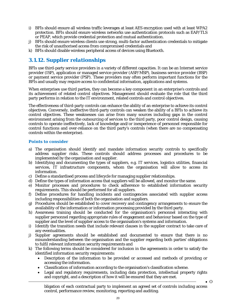- i) BFIs should ensure all wireless traffic leverages at least AES encryption used with at least WPA2 protection. BFIs should ensure wireless networks use authentication protocols such as EAP/TLS or PEAP, which provide credential protection and mutual authentication.
- j) BFIs should ensure wireless clients use strong, multi-factor authentication credentials to mitigate the risk of unauthorised access from compromised credentials and
- k) BFIs should disable wireless peripheral access of devices using Bluetooth.

## *3.1.12. Supplier relationships*

BFIs use third-party service providers in a variety of different capacities. It can be an Internet service provider (ISP), application or managed service provider (ASP/MSP), business service provider (BSP) or payment service provider (PSP). These providers may often perform important functions for the BFIs and usually may require access to confidential information, applications and systems.

When enterprises use third parties, they can become a key component in an enterprise's controls and its achievement of related control objectives. Management should evaluate the role that the third party performs in relation to the IT environment, related controls and control objectives.

The effectiveness of third-party controls can enhance the ability of an enterprise to achieve its control objectives. Conversely, ineffective third-party controls can weaken the ability of a BFIs to achieve its control objectives. These weaknesses can arise from many sources including gaps in the control environment arising from the outsourcing of services to the third party, poor control design, causing controls to operate ineffectively, lack of knowledge and/or inexperience of personnel responsible for control functions and over-reliance on the third party's controls (when there are no compensating controls within the enterprise).

#### **Points to consider**

- a) The organisation should identify and mandate information security controls to specifically address supplier risks. These controls should address processes and procedures to be implemented by the organisation and supplier.
- b) Identifying and documenting the types of suppliers, e.g. IT services, logistics utilities, financial services, IT infrastructure components, whom the organisation will allow to access its information.
- c) Define a standardised process and lifecycle for managing supplier relationships.
- d) Define the types of information access that suppliers will be allowed, and monitor the same.
- e) Monitor processes and procedures to check adherence to established information security requirements. This should be performed for all suppliers.
- f) Define procedures for handling incidents and contingencies associated with supplier access including responsibilities of both the organisation and suppliers.
- g) Procedures should be established to cover recovery and contingency arrangements to ensure the availability of the information or information processing provided by the third party.
- h) Awareness training should be conducted for the organisation's personnel interacting with supplier personnel regarding appropriate rules of engagement and behaviour based on the type of supplier and the level of supplier access to the organisation's systems and information.
- i) Identify the transition needs that include relevant clauses in the supplier contract to take care of any eventualities.
- j) Supplier agreements should be established and documented to ensure that there is no misunderstanding between the organisation and the supplier regarding both parties' obligations to fulfil relevant information security requirements and
- k) The following terms should be considered for inclusion in the agreements in order to satisfy the identified information security requirements:
	- Description of the information to be provided or accessed and methods of providing or accessing the information.
	- Classification of information according to the organisation's classification scheme.
	- Legal and regulatory requirements, including data protection, intellectual property rights and copyright, and a description of how it will be ensured that they are met.

bligation of each contractual party to implement an agreed set of controls including access control, performance review, monitoring, reporting and auditing.

 $\bullet$  O

20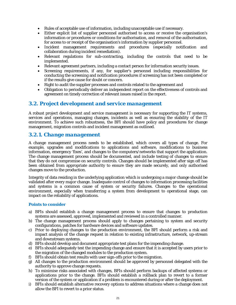- Rules of acceptable use of information, including unacceptable use if necessary.
- Either explicit list of supplier personnel authorised to access or receive the organisation's information or procedures or conditions for authorisation, and removal of the authorisation, for access to or receipt of the organisation's information by supplier personnel.
- Incident management requirements and procedures (especially notification and collaboration during incident remediation).
- Relevant regulations for sub-contracting, including the controls that need to be implemented.
- Relevant agreement partners, including a contact person for information security issues.
- Screening requirements, if any, for supplier's personnel including responsibilities for conducting the screening and notification procedures if screening has not been completed or if the results give cause for doubt or concern.
- Right to audit the supplier processes and controls related to the agreement and
- Obligation to periodically deliver an independent report on the effectiveness of controls and agreement on timely correction of relevant issues raised in the report.

#### *3.2. Project development and service management*

A robust project development and service management is necessary for supporting the IT systems, services and operations, managing changes, incidents as well as ensuring the stability of the IT environment. To achieve such robustness, the BFI should have policy and procedures for change management, migration controls and incident management as outlined.

## *3.2.1. Change management*

A change management process needs to be established, which covers all types of change. For example, upgrades and modifications to applications and software, modifications to business information, emergency 'fixes', and changes to the computers/networks that support the application. The change management process should be documented, and include testing of changes to ensure that they do not compromise on security controls. Changes should be implemented after sign off has been obtained from appropriate authority to ensure they are made securely, and only authorised changes move to the production.

Integrity of data residing in the underlying application which is undergoing a major change should be validated after every major change. Inadequate control of changes to information processing facilities and systems is a common cause of system or security failures. Changes to the operational environment, especially when transferring a system from development to operational stage, can impact on the reliability of applications.

#### **Points to consider**

- a) BFIs should establish a change management process to ensure that changes to production systems are assessed, approved, implemented and reviewed in a controlled manner.
- b) The change management process should apply to changes pertaining to system and security configurations, patches for hardware devices and software updates.
- c) Prior to deploying changes to the production environment, the BFI should perform a risk and impact analysis of the change request in relation to existing infrastructure, network, up-stream and downstream systems.
- d) BFIs should develop and document appropriate test plans for the impending change.
- e) BFIs should adequately test the impending change and ensure that it is accepted by users prior to the migration of the changed modules to the production system.
- f) BFIs should obtain test results with user sign-offs prior to the migration.
- g) All changes to the production environment should be approved by personnel delegated with the authority to approve change requests.
- h) To minimise risks associated with changes, BFIs should perform backups of affected systems or applications prior to the change. BFIs should establish a rollback plan to revert to a former version of the system or application if a problem is encountered during or after the deployment.
- i) BFIs should establish alternative recovery options to address situations where a change does not allow the BFI to revert to a prior status.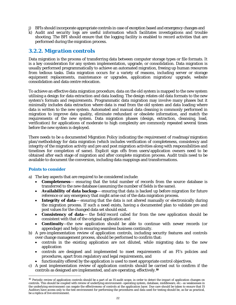- j) BFIs should incorporate appropriate controls in case of exception based and emergency changes and
- k) Audit and security logs are useful information which facilitates investigations and trouble shooting. The BFI should ensure that the logging facility is enabled to record activities that are performed during the migration process.

## *3.2.2. Migration controls*

Data migration is the process of transferring data between computer storage types or file formats. It is a key consideration for any system implementation, upgrade, or consolidation. Data migration is usually performed programmatically to achieve an automated migration, freeing up human resources from tedious tasks. Data migration occurs for a variety of reasons, including server or storage equipment replacements, maintenance or upgrades, application migration/ upgrade, website consolidation and data centre relocation.

To achieve an effective data migration procedure, data on the old system is mapped to the new system utilising a design for data extraction and data loading. The design relates old data formats to the new system's formats and requirements. Programmatic data migration may involve many phases but it minimally includes data extraction where data is read from the old system and data loading where data is written to the new system. Automated and manual data cleaning is commonly performed in migration to improve data quality, eliminate redundant or obsolete information, and match the requirements of the new system. Data migration phases (design, extraction, cleansing, load, verification) for applications of moderate to high complexity are commonly repeated several times before the new system is deployed.

There needs to be a documented Migration Policy indicating the requirement of roadmap/migration plan/methodology for data migration (which includes verification of completeness, consistency and integrity of the migration activity and pre and post migration activities along with responsibilities and timelines for completion of same). Explicit sign offs from users/application owners need to be obtained after each stage of migration and after complete migration process. Audit trails need to be available to document the conversion, including data mappings and transformations.

#### **Points to consider**

 $\overline{a}$ 

- a) The key aspects that are required to be considered include:
	- **Completeness** ensuring that the total number of records from the source database is transferred to the new database (assuming the number of fields is the same).
	- **Availability of data backup** ensuring that data is backed up before migration for future reference or any emergency that might arise out of the data migration process.
	- **Integrity of data** ensuring that the data is not altered manually or electronically during the migration process. If such a need exists, having a documented plan to validate pre and post values for the changed data set should exist.
	- **Consistency of data** the field/record called for from the new application should be consistent with that of the original application and
	- **Continuity**—the new application should be able to continue with newer records (or appendage) and help in ensuring seamless business continuity.
- b) A pre-implementation review of application controls, including security features and controls over change management process, should be performed to confirm that:
	- controls in the existing application are not diluted, while migrating data to the new application
	- controls are designed and implemented to meet requirements of an FI's policies and procedures, apart from regulatory and legal requirements, and
	- functionality offered by the application is used to meet appropriate control objectives.
- c) A post implementation review of application controls should be carried out to confirm if the controls as designed are implemented, and are operating, effectively.**<sup>10</sup>**

 $10$  Periodic review of application controls should be a part of an IS audit scope, in order to detect the impact of application changes on controls. This should be coupled with review of underlying environment–operating system, database, middleware, etc.–as weaknesses in the underlying environment can negate the effectiveness of controls at the application layer. Due care should be taken to ensure that IS Auditors have access only to the test environment for performing the procedures and data used for testing should be, as far as practical, be a replica of live environment.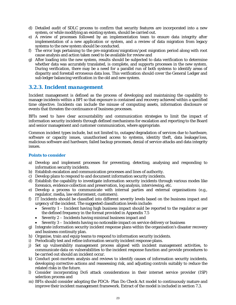- d) Detailed audit of SDLC process to confirm that security features are incorporated into a new system, or while modifying an existing system, should be carried out.
- e) A review of processes followed by an implementation team to ensure data integrity after implementation of a new application or system, and a review of data migration from legacy systems to the new system should be conducted.
- f) The error logs pertaining to the pre-migration/migration/post migration period along with root cause analysis and action taken need to be available for review and
- g) After loading into the new system, results should be subjected to data verification to determine whether data was accurately translated, is complete, and supports processes in the new system. During verification, there may be a need for a parallel run of both systems to identify areas of disparity and forestall erroneous data loss. This verification should cover the General Ledger and sub ledger balancing verification in the old and new system.

## *3.2.3. Incident management*

Incident management is defined as the process of developing and maintaining the capability to manage incidents within a BFI so that exposure is contained and recovery achieved within a specified time objective. Incidents can include the misuse of computing assets, information disclosure or events that threaten the continuance of business processes.

BFIs need to have clear accountability and communication strategies to limit the impact of information security incidents through defined mechanisms for escalation and reporting to the Board and senior management and customer communication, where appropriate.

Common incident types include, but not limited to, outages/degradation of services due to hardware, software or capacity issues, unauthorised access to systems, identity theft, data leakage/loss, malicious software and hardware, failed backup processes, denial of service attacks and data integrity issues.

#### **Points to consider**

- a) Develop and implement processes for preventing, detecting, analysing and responding to information security incidents.
- b) Establish escalation and communication processes and lines of authority.
- c) Develop plans to respond to and document information security incidents.
- d) Establish the capability to investigate information security incidents through various modes like forensics, evidence collection and preservation, log analysis, interviewing, etc.
- e) Develop a process to communicate with internal parties and external organisations (e.g., regulator, media, law enforcement, customers).
- f) IT Incidents should be classified into different severity levels based on the business impact and urgency of the incident. The suggested classification levels include:
	- $\bullet$  Severity 1 Incident having high business impact should be reported to the regulator as per the defined frequency in the format provided in Appendix 7.5
	- Severity 2 Incidents having minimal business impact and
	- Severity 3 Incidents having no noticeable impact on service delivery or business
- g) Integrate information security incident response plans within the organisation's disaster recovery and business continuity plan.
- h) Organise, train and equip teams to respond to information security incidents.
- i) Periodically test and refine information security incident response plans.
- j) Set up vulnerability management process aligned with incident management activities, to communicate data on vulnerabilities to the incident response function and provide procedures to be carried out should an incident occur.
- k) Conduct post-mortem analysis and reviews to identify causes of information security incidents, developing corrective actions and reassessing risk, and adjusting controls suitably to reduce the related risks in the future.
- l) Consider incorporating DoS attack considerations in their internet service provider (ISP) selection process and
- m) BFIs should consider adopting the PDCA- Plan Do Check Act model to continuously mature and improve their incident management framework. Extract of the model is included in section 7.3.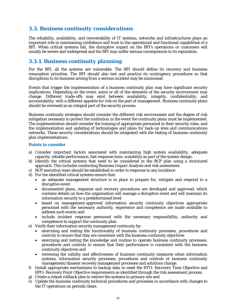## *3.3. Business continuity considerations*

The reliability, availability, and recoverability of IT systems, networks and infrastructures plays an important role in maintaining confidence and trust in the operational and functional capabilities of a BFI. When critical systems fail, the disruptive impact on the BFI's operations or customers will usually be severe and widespread and the BFI may suffer serious consequences to its reputation.

## *3.3.1. Business continuity planning*

For the BFI, all the systems are vulnerable. The BFI should define its recovery and business resumption priorities. The BFI should also test and practice its contingency procedures so that disruptions to its business arising from a serious incident may be minimised.

Events that trigger the implementation of a business continuity plan may have significant security implications. Depending on the event, some or all of the elements of the security environment may change. Different trade-offs may exist between availability, integrity, confidentiality, and accountability, with a different appetite for risk on the part of management. Business continuity plans should be reviewed as an integral part of the security process.

Business continuity strategies should consider the different risk environment and the degree of risk mitigation necessary to protect the institution in the event the continuity plans must be implemented. The implementation should consider the training of appropriate personnel in their security roles, and the implementation and updating of technologies and plans for back-up sites and communications networks. These security considerations should be integrated with the testing of business continuity plan implementations.

#### **Points to consider**

- a) Consider important factors associated with maintaining high system availability, adequate capacity, reliable performance, fast response time, scalability as part of the system design.
- b) Identify the critical systems that need to be considered in the BCP plan using a structured approach. This includes conducting Business Impact Analysis and risk assessment.
- c) BCP execution team should be established in order to response to any incidence
- d) For the identified critical systems ensure that:
	- an adequate management structure is in place to prepare for, mitigate and respond to a disruptive event
	- documented plans, response and recovery procedures are developed and approved, which contains details on how the organisation will manage a disruptive event and will maintain its information security to a predetermined level
	- based on management-approved information security continuity objectives appropriate personnel with the necessary authority, experience and competence are made available to address such events and
	- include incident response personnel with the necessary responsibility, authority and competence to support the continuity plan.
- e) Verify their information security management continuity by:
	- exercising and testing the functionality of business continuity processes, procedures and controls to ensure that they are consistent with the business continuity objectives
	- exercising and testing the knowledge and routine to operate business continuity processes, procedures and controls to ensure that their performance is consistent with the business continuity objectives and
	- reviewing the validity and effectiveness of business continuity measures when information systems, information security processes, procedures and controls or business continuity management/disaster recovery management processes and solutions change.
- f) Install appropriate mechanisms to backup data to meet the RTO- Recovery Time Objective and RPO- Recovery Point Objective requirements as identified through the risk assessment process.
- g) Create a robust rollback plan to restore the systems to primary site and
- h) Update the business continuity technical procedures and processes in accordance with changes to the IT operations on periodic basis.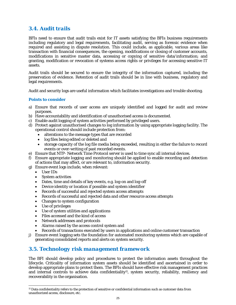## *3.4. Audit trails*

BFIs need to ensure that audit trails exist for IT assets satisfying the BFIs business requirements including regulatory and legal requirements, facilitating audit, serving as forensic evidence when required and assisting in dispute resolution. This could include, as applicable, various areas like transaction with financial consequences, the opening, modifications or closing of customer accounts, modifications in sensitive master data, accessing or copying of sensitive data/information; and granting, modification or revocation of systems access rights or privileges for accessing sensitive IT assets.

Audit trails should be secured to ensure the integrity of the information captured, including the preservation of evidence. Retention of audit trails should be in line with business, regulatory and legal requirements.

Audit and security logs are useful information which facilitates investigations and trouble shooting.

#### **Points to consider**

- a) Ensure that records of user access are uniquely identified and logged for audit and review purposes.
- b) Have accountability and identification of unauthorised access is documented.
- c) Enable audit logging of system activities performed by privileged users.
- d) Protect against unauthorised changes to log information by using appropriate logging facility. The operational control should include protection from:
	- alterations to the message types that are recorded
	- log files being edited or deleted and
	- storage capacity of the log file media being exceeded, resulting in either the failure to record events or over-writing of past recorded events.
- e) Ensure that NTP- Network Time Protocol server is used to time sync all internal devices.
- f) Ensure appropriate logging and monitoring should be applied to enable recording and detection of actions that may affect, or are relevant to, information security.
- g) Ensure event logs include, when relevant:
	- User IDs
	- System activities
	- Dates, time and details of key events, e.g. log-on and log-off
	- Device identity or location if possible and system identifier
	- Records of successful and rejected system access attempts
	- Records of successful and rejected data and other resource access attempts
	- Changes to system configuration
	- Use of privileges
	- Use of system utilities and applications
	- Files accessed and the kind of access
	- Network addresses and protocols
	- Alarms raised by the access control system and
	- Records of transactions executed by users in applications and online customer transaction
- j) Ensure event logging sets the foundation for automated monitoring systems which are capable of generating consolidated reports and alerts on system security.

## *3.5. Technology risk management framework*

The BFI should develop policy and procedures to protect the information assets throughout the lifecycle. Criticality of information system assets should be identified and ascertained in order to develop appropriate plans to protect them. The BFIs should have effective risk management practices and internal controls to achieve data confidentiality<sup>11</sup>, system security, reliability, resiliency and recoverability in the organisation.

 $\overline{a}$ 11 Data confidentiality refers to the protection of sensitive or confidential information such as customer data from unauthorized access, disclosure, etc.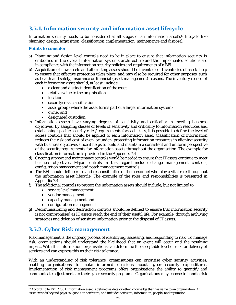## *3.5.1. Information security and information asset lifecycle*

Information security needs to be considered at all stages of an information asset's<sup>12</sup> lifecycle like planning, design, acquisition, classification, implementation, maintenance and disposal.

#### **Points to consider**

- a) Planning and design level controls need to be in place to ensure that information security is embodied in the overall information systems architecture and the implemented solutions are in compliance with the information security policies and requirements of a BFI.
- b) Acquisition of new assets and all existing assets should be inventoried. Inventories of assets help to ensure that effective protection takes place, and may also be required for other purposes, such as health and safety, insurance or financial (asset management) reasons. The inventory record of each information asset should, at least, include:
	- a clear and distinct identification of the asset
	- relative value to the organisation
	- location
	- security/risk classification
	- asset group (where the asset forms part of a larger information system)
	- owner and
	- designated custodian
- c) Information assets have varying degrees of sensitivity and criticality in meeting business objectives. By assigning classes or levels of sensitivity and criticality to information resources and establishing specific security rules/requirements for each class, it is possible to define the level of access controls that should be applied to each information asset. Classification of information reduces the risk and cost of over- or under- protecting information resources in aligning security with business objectives since it helps to build and maintain a consistent and uniform perspective of the security requirements for information assets throughout the organisation. The example for classification information is provided in the Appendix 7.4
- d) Ongoing support and maintenance controls would be needed to ensure that IT assets continue to meet business objectives. Major controls in this regard include change management controls, configuration management and patch management controls.
- e) The BFI should define roles and responsibilities of the personnel who play a vital role throughout the information asset lifecycle. The example of the roles and responsibilities is presented in Appendix 7.4
- f) The additional controls to protect the information assets should include, but not limited to
	- service level management
	- vendor management
	- capacity management and
	- configuration management
- g) Decommissioning and destruction controls should be defined to ensure that information security is not compromised as IT assets reach the end of their useful life. For example, through archiving strategies and deletion of sensitive information prior to the disposal of IT assets.

## *3.5.2. Cyber Risk management*

Risk management is the ongoing process of identifying, assessing, and responding to risk. To manage risk, organisations should understand the likelihood that an event will occur and the resulting impact. With this information, organisations can determine the acceptable level of risk for delivery of services and can express this as their risk tolerance.

With an understanding of risk tolerance, organisations can prioritise cyber security activities, enabling organisations to make informed decisions about cyber security expenditures. Implementation of risk management programs offers organisations the ability to quantify and communicate adjustments to their cyber security programs. Organisations may choose to handle risk

 $\overline{a}$ 12 According to ISO 27001, information asset is defined as data or other knowledge that has value to an organization. An asset extends beyond physical goods or hardware, and includes software, information, people, and reputation.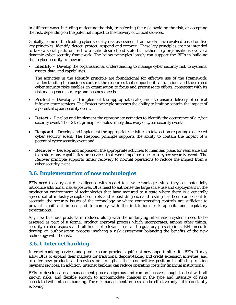in different ways, including mitigating the risk, transferring the risk, avoiding the risk, or accepting the risk, depending on the potential impact to the delivery of critical services.

Globally, some of the leading cyber security risk assessment frameworks have evolved based on five key principles: identify, detect, protect, respond and recover. These key principles are not intended to take a serial path, or lead to a static desired end state but rather help organisations evolve a dynamic cyber security framework. The below principles largely can support the BFIs in building their cyber security framework.

• **Identify** – Develop the organisational understanding to manage cyber security risk to systems, assets, data, and capabilities.

The activities in the Identify principle are foundational for effective use of the Framework. Understanding the business context, the resources that support critical functions and the related cyber security risks enables an organisation to focus and prioritise its efforts, consistent with its risk management strategy and business needs.

- **Protect –** Develop and implement the appropriate safeguards to ensure delivery of critical infrastructure services. The Protect principle supports the ability to limit or contain the impact of a potential cyber security event.
- **Detect** Develop and implement the appropriate activities to identify the occurrence of a cyber security event. The Detect principle enables timely discovery of cyber security events.
- **Respond –** Develop and implement the appropriate activities to take action regarding a detected cyber security event. The Respond principle supports the ability to contain the impact of a potential cyber security event and
- **Recover** Develop and implement the appropriate activities to maintain plans for resilience and to restore any capabilities or services that were impaired due to a cyber security event. The Recover principle supports timely recovery to normal operations to reduce the impact from a cyber security event.

## *3.6. Implementation of new technologies*

BFIs need to carry out due diligence with regard to new technologies since they can potentially introduce additional risk exposures. BFIs need to authorise the large scale use and deployment in the production environment of technologies that have matured to a state where there is a generally agreed set of industry-accepted controls and robust diligence and testing has been carried out to ascertain the security issues of the technology or where compensating controls are sufficient to prevent significant impact and to comply with the institution's risk appetite and regulatory expectations.

Any new business products introduced along with the underlying information systems need to be assessed as part of a formal product approval process which incorporates, among other things, security related aspects and fulfilment of relevant legal and regulatory prescriptions. BFIs need to develop an authorisation process involving a risk assessment balancing the benefits of the new technology with the risk.

## *3.6.1. Internet banking*

Internet banking services and products can provide significant new opportunities for BFIs. It may allow BFIs to expand their markets for traditional deposit-taking and credit extension activities, and to offer new products and services or strengthen their competitive position in offering existing payment services. In addition, internet banking can reduce operating costs for financial institutions.

BFIs to develop a risk management process rigorous and comprehensive enough to deal with all known risks, and flexible enough to accommodate changes in the type and intensity of risks associated with internet banking. The risk management process can be effective only if it is constantly evolving.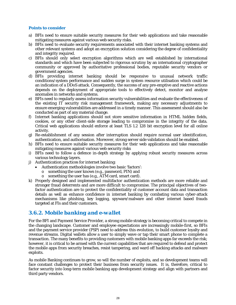#### **Points to consider**

- a) BFIs need to ensure suitable security measures for their web applications and take reasonable mitigating measures against various web security risks.
- b) BFIs need to evaluate security requirements associated with their internet banking systems and other relevant systems and adopt an encryption solution considering the degree of confidentiality and integrity required.
- c) BFIs should only select encryption algorithms which are well established by international standards and which have been subjected to rigorous scrutiny by an international cryptographer community or approved by authoritative professional bodies, reputable security vendors or government agencies.
- d) BFIs providing internet banking should be responsive to unusual network traffic conditions/system performance and sudden surge in system resource utilisation which could be an indication of a DDoS attack. Consequently, the success of any pre-emptive and reactive actions depends on the deployment of appropriate tools to effectively detect, monitor and analyse anomalies in networks and systems.
- e) BFIs need to regularly assess information security vulnerabilities and evaluate the effectiveness of the existing IT security risk management framework, making any necessary adjustments to ensure emerging vulnerabilities are addressed in a timely manner. This assessment should also be conducted as part of any material change.
- f) Internet banking applications should not store sensitive information in HTML hidden fields, cookies, or any other client-side storage leading to compromise in the integrity of the data. Critical web applications should enforce at least TLS 1.2 128 bit encryption level for all online activity.
- g) Re-establishment of any session after interruption should require normal user identification, authentication, and authorisation. Moreover, strong server side validation should be enabled.
- h) BFIs need to ensure suitable security measures for their web applications and take reasonable mitigating measures against various web security risks
- i) BFIs need to follow a defence in-depth strategy by applying robust security measures across various technology layers.
- j) Authentication practices for internet banking:
	- Authentication methodologies involve two basic 'factors':
		- o something the user knows (e.g., password, PIN) and
		- o something the user has (e.g., ATM card, smart card).
- k) Properly designed and implemented multifactor authentication methods are more reliable and stronger fraud deterrents and are more difficult to compromise. The principal objectives of twofactor authentication are to protect the confidentiality of customer account data and transaction details as well as enhance confidence in internet banking by combating various cyber-attack mechanisms like phishing, key logging, spyware/malware and other internet based frauds targeted at FIs and their customers.

## *3.6.2. Mobile banking and e-wallet*

For the BFI and Payment Service Provider, a strong mobile strategy is becoming critical to compete in the changing landscape. Customer and employee expectations are increasingly mobile-first, so BFIs and the payment service provider (PSP) need to address this evolution, to build customer loyalty and revenue streams. Digital wallets allow a user to simply wave or tap their smart phone to complete a transaction. The many benefits to providing customers with mobile banking apps far exceeds the risk; however, it is critical to be armed with the current capabilities that are required to defend and protect the mobile apps from security breaches, resist tampering, and ward off hacking attacks and malware exploits.

As mobile Banking continues to grow, so will the number of exploits, and so development teams will face constant challenges to protect their business from security issues. It is, therefore, critical to factor security into long-term mobile banking app development strategy and align with partners and third party vendors.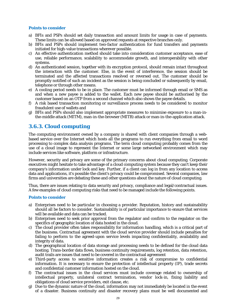#### **Points to consider**

- a) BFIs and PSPs should set daily transaction and amount limits for usage in case of payments. These limits can be allowed based on approved requests at respective branches only.
- b) BFIs and PSPs should implement two-factor authentication for fund transfers and payments initiated for high-value transactions wherever possible.
- c) An effective authentication method should take into consideration customer acceptance, ease of use, reliable performance, scalability to accommodate growth, and interoperability with other systems.
- d) An authenticated session, together with its encryption protocol, should remain intact throughout the interaction with the customer. Else, in the event of interference, the session should be terminated and the affected transactions resolved or reversed out. The customer should be promptly notified of such an incident as the session is being concluded or subsequently by email, telephone or through other means.
- e) A cooling period needs to be in place. The customer must be informed through email or SMS as and when a new payee is added to the wallet. Each new payee should be authorised by the customer based on an OTP from a second channel which also shows the payee details.
- f) A risk based transaction monitoring or surveillance process needs to be considered to monitor fraudulent use of wallets and
- g) BFIs and PSPs should also implement appropriate measures to minimise exposure to a man-inthe-middle attack (MITM), man-in-the-browser (MITB) attack or man-in-the-application attack.

## *3.6.3. Cloud computing*

The computing environment owned by a company is shared with client companies through a webbased service over the Internet which hosts all the programs to run everything from email to word processing to complex data analysis programs. The term cloud computing probably comes from the use of a cloud image to represent the Internet or some large networked environment which may include services like software, platform or infrastructure.

However, security and privacy are some of the primary concerns about cloud computing. Corporate executives might hesitate to take advantage of a cloud computing system because they can't keep their company's information under lock and key. Further, if a client can log in from any location to access data and applications, it's possible the client's privacy could be compromised. Several companies, law firms and universities are debating these and other questions about the nature of cloud computing.

Thus, there are issues relating to data security and privacy, compliance and legal/contractual issues. A few examples of cloud computing risks that need to be managed include the following points.

#### **Points to consider**

- a) Enterprises need to be particular in choosing a provider. Reputation, history and sustainability should all be factors to consider. Sustainability is of particular importance to ensure that services will be available and data can be tracked.
- b) Enterprises need to seek prior approval from the regulator and confirm to the regulator on the specifics of geographic location of data hosted in the cloud.
- c) The cloud provider often takes responsibility for information handling, which is a critical part of the business. Contractual agreement with the cloud service provider should include penalties for failing to perform to the agreed-upon service levels impacting confidentiality, availability and integrity of data.
- d) The geographical location of data storage and processing needs to be defined for the cloud data hosting. Trans-border data flows, business continuity requirements, log retention, data retention, audit trails are issues that need to be covered in the contractual agreement
- e) Third-party access to sensitive information creates a risk of compromise to confidential information. It is necessary to ensure the protection of intellectual property (IP), trade secrets and confidential customer information hosted on the cloud.
- f) The contractual issues in the cloud services must include coverage related to ownership of intellectual property, unilateral contract termination, vendor lock-in, fixing liability and obligations of cloud service providers, exit clause, etc.
- g) Due to the dynamic nature of the cloud, information may not immediately be located in the event of a disaster. Business continuity and disaster recovery plans must be well documented and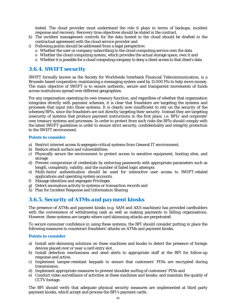tested. The cloud provider must understand the role it plays in terms of backups, incident response and recovery. Recovery time objectives should be stated in the contract.

- h) The incident management controls for the data hosted in the cloud should be drafted in the contractual agreement with the cloud service provider and
- i) Following points should be addressed from a legal perspective:
	- $\circ$  Whether the user or company subscribing to the cloud computing service own the data
	- o Whether the cloud computing system, which provides the actual storage space, own it and
	- $\circ$  Whether it is possible for a cloud computing company to deny a client access to that client's data

## *3.6.4. SWIFT security*

SWIFT formally known as the Society for Worldwide Interbank Financial Telecommunication, is a Brussels-based cooperative, maintaining a messaging system used by 11,000 FIs to help move money. The main objective of SWIFT is to ensure authentic, secure and transparent movements of funds across institutions spread over different geographies.

For any organisation operating its own treasury function, and regardless of whether that organisation integrates directly with payment schemes, it is clear that fraudsters are targeting the systems and processes that input into those systems. It is clearly now insufficient to rely on the security of the schemes/BFIs, since the fraudsters are not directly targeting their security. Instead they are targeting insecurity of systems that produce payment instructions in the first place, i.e. BFIs' and corporate' own treasury systems and processes. In order to protect from such risks the BFIs should comply with the latest SWIFT guidelines in order to ensure strict security, confidentiality and integrity protection to the SWIFT environment.

#### **Points to consider**

- a) Restrict internet access & segregate critical systems from General IT environment.
- b) Reduce attack surface and vulnerabilities.
- c) Physically secure the environment to protect access to sensitive equipment, hosting sites, and storage
- d) Prevent compromise of credentials by enforcing passwords with appropriate parameters such as length, complexity, validity, and the number of failed login attempts
- e) Multi-factor authentication should be used for interactive user access to SWIFT-related applications and operating system accounts.
- f) Manage identities and segregate Privileges
- g) Detect anomalous activity to systems or transaction records and
- h) Plan for Incident Response and Information Sharing

## *3.6.5. Security of ATMs and payment kiosks*

The presence of ATMs and payment kiosks (e.g. SAM and AXS machines) has provided cardholders with the convenience of withdrawing cash as well as making payments to billing organisations. However, these systems are targets where card skimming attacks are perpetrated.

To secure consumer confidence in using these systems, the BFI should consider putting in place the following measures to counteract fraudsters' attacks on ATMs and payment kiosks.

#### **Points to consider**

- a) Install anti-skimming solutions on these machines and kiosks to detect the presence of foreign devices placed over or near a card entry slot.
- b) Install detection mechanisms and send alerts to appropriate staff at the BFI for follow-up response and action.
- c) Implement tamper-resistant keypads to ensure that customers' PINs are encrypted during transmission.
- d) Implement appropriate measures to prevent shoulder surfing of customers' PINs and
- e) Conduct video surveillance of activities at these machines and kiosks; and maintain the quality of CCTV footage.

The BFI should verify that adequate physical security measures are implemented at third party payment kiosks, which accept and process the BFI's payment cards.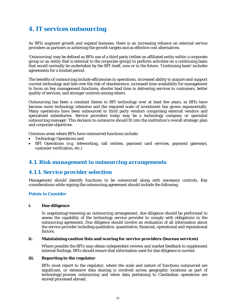# *4. IT services outsourcing*

As BFIs augment growth and expand business, there is an increasing reliance on external service providers as partners in achieving the growth targets and as effective cost alternatives.

'Outsourcing' may be defined as BFIs use of a third party (either an affiliated entity within a corporate group or an entity that is external to the corporate group) to perform activities on a continuing basis that would normally be undertaken by the BFI itself, now or in the future. 'Continuing basis' includes agreements for a limited period.

The benefits of outsourcing include efficiencies in operations, increased ability to acquire and support current technology and tide over the risk of obsolescence, increased time availability for management to focus on key management functions, shorter lead time in delivering services to customers, better quality of services, and stronger controls among others.

Outsourcing has been a constant theme in BFI technology over at least few years, as BFIs have become more technology intensive and the required scale of investment has grown exponentially. Many operations have been outsourced to third party vendors comprising external vendors and specialised subsidiaries. Service providers today may be a technology company or specialist outsourcing manager. This decision to outsource should fit into the institution's overall strategic plan and corporate objectives.

Common areas where BFIs have outsourced functions include:

- Technology Operations and
- BFI Operations (e.g. teleworking, call centres, payment card services, payment gateways, customer verification, etc.)

## *4.1. Risk management in outsourcing arrangements*

## *4.1.1. Service provider selection*

Management should identify functions to be outsourced along with necessary controls. Key considerations while signing the outsourcing agreement should include the following.

#### **Points to Consider**

#### **i. Due diligence**

In negotiating/renewing an outsourcing arrangement, due diligence should be performed to assess the capability of the technology service provider to comply with obligations in the outsourcing agreement. Due diligence should involve an evaluation of all information about the service provider including qualitative, quantitative, financial, operational and reputational factors.

#### **ii. Maintaining caution lists and scoring for service providers (bureau services)**

Where possible the BFIs may obtain independent reviews and market feedback to supplement internal findings. BFIs should ensure that information used for due diligence is current.

#### **iii. Reporting to the regulator**

BFIs must report to the regulator, where the scale and nature of functions outsourced are significant, or extensive data sharing is involved across geographic locations as part of technology/process outsourcing and when data pertaining to Cambodian operations are stored/processed abroad.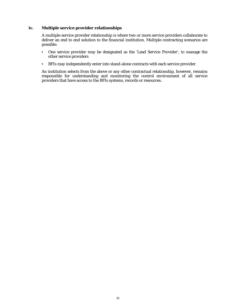#### **iv. Multiple service provider relationships**

A multiple service provider relationship is where two or more service providers collaborate to deliver an end to end solution to the financial institution. Multiple contracting scenarios are possible:

- One service provider may be designated as the 'Lead Service Provider', to manage the other service providers
- BFIs may independently enter into stand-alone contracts with each service provider.

An institution selects from the above or any other contractual relationship, however, remains responsible for understanding and monitoring the control environment of all service providers that have access to the BFIs systems, records or resources.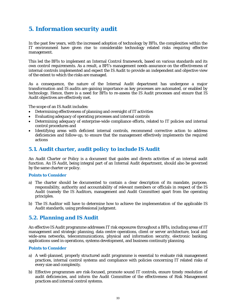# *5. Information security audit*

In the past few years, with the increased adoption of technology by BFIs, the complexities within the IT environment have given rise to considerable technology related risks requiring effective management.

This led the BFIs to implement an Internal Control framework, based on various standards and its own control requirements. As a result, a BFI's management needs assurance on the effectiveness of internal controls implemented and expect the IS Audit to provide an independent and objective view of the extent to which the risks are managed.

As a consequence, the nature of the Internal Audit department has undergone a major transformation and IS audits are gaining importance as key processes are automated, or enabled by technology. Hence, there is a need for BFIs to re-assess the IS Audit processes and ensure that IS Audit objectives are effectively met.

The scope of an IS Audit includes:

- Determining effectiveness of planning and oversight of IT activities
- Evaluating adequacy of operating processes and internal controls
- Determining adequacy of enterprise-wide compliance efforts, related to IT policies and internal control procedures and
- Identifying areas with deficient internal controls, recommend corrective action to address deficiencies and follow-up, to ensure that the management effectively implements the required actions

## *5.1. Audit charter, audit policy to include IS Audit*

An Audit Charter or Policy is a document that guides and directs activities of an internal audit function. An IS Audit, being integral part of an Internal Audit department, should also be governed by the same charter or policy.

#### **Points to Consider**

- a) The charter should be documented to contain a clear description of its mandate, purpose, responsibility, authority and accountability of relevant members or officials in respect of the IS Audit (namely the IS Auditors, management and Audit Committee) apart from the operating principles.
- b) The IS Auditor will have to determine how to achieve the implementation of the applicable IS Audit standards, using professional judgment.

## *5.2. Planning and IS Audit*

An effective IS Audit programme addresses IT risk exposures throughout a BFIs, including areas of IT management and strategic planning, data centre operations, client or server architecture, local and wide-area networks, telecommunications, physical and information security, electronic banking, applications used in operations, systems development, and business continuity planning.

#### **Points to Consider**

- a) A well-planned, properly structured audit programme is essential to evaluate risk management practices, internal control systems and compliance with policies concerning IT related risks of every size and complexity.
- b) Effective programmes are risk-focused, promote sound IT controls, ensure timely resolution of audit deficiencies, and inform the Audit Committee of the effectiveness of Risk Management practices and internal control systems.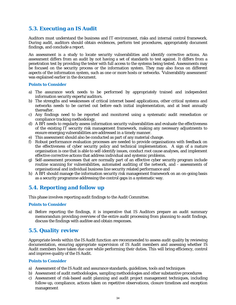## *5.3. Executing an IS Audit*

Auditors must understand the business and IT environment, risks and internal control framework. During audit, auditors should obtain evidences, perform test procedures, appropriately document findings, and conclude a report.

An assessment is a study to locate security vulnerabilities and identify corrective actions. An assessment differs from an audit by not having a set of standards to test against. It differs from a penetration test by providing the tester with full access to the systems being tested. Assessments may be focused on the security process or the information system. They may also focus on different aspects of the information system, such as one or more hosts or networks. 'Vulnerability assessment' was explained earlier in the document.

#### **Points to Consider**

- a) The assurance work needs to be performed by appropriately trained and independent information security experts/auditors.
- b) The strengths and weaknesses of critical internet based applications, other critical systems and networks needs to be carried out before each initial implementation, and at least annually thereafter.
- c) Any findings need to be reported and monitored using a systematic audit remediation or compliance tracking methodology.
- d) A BFI needs to regularly assess information security vulnerabilities and evaluate the effectiveness of the existing IT security risk management framework, making any necessary adjustments to ensure emerging vulnerabilities are addressed in a timely manner.
- e) This assessment should also be conducted as part of any material change.
- f) Robust performance evaluation processes are needed to provide organisations with feedback on the effectiveness of cyber security policy and technical implementation. A sign of a mature organisation is one that is able to self-identify issues, conduct root cause analyses, and implement effective corrective actions that address individual and systemic problems.
- g) Self-assessment processes that are normally part of an effective cyber security program include routine scanning for vulnerabilities, automated auditing of the network, and - assessments of organisational and individual business line security related performance and
- h) A BFI should manage the information security risk management framework on an on-going basis as a security programme addressing the control gaps in a systematic way.

## *5.4. Reporting and follow up*

This phase involves reporting audit findings to the Audit Committee.

#### **Points to Consider**

a) Before reporting the findings, it is imperative that IS Auditors prepare an audit summary memorandum providing overview of the entire audit processing from planning to audit findings, discuss the findings with auditee and obtain responses.

## *5.5. Quality review*

Appropriate levels within the IS Audit function are recommended to assess audit quality by reviewing documentation, ensuring appropriate supervision of IS Audit members and assessing whether IS Audit members have taken due care while performing their duties. This will bring efficiency, control and improve quality of the IS Audit.

#### **Points to Consider**

- a) Assessment of the IS Audit and assurance standards, guidelines, tools and techniques
- b) Assessment of audit methodologies, sampling methodologies and other substantive procedures
- c) Assessment of risk-based audit planning and audit project management techniques, including follow-up, compliance, actions taken on repetitive observations, closure timelines and exception management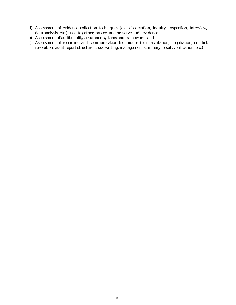- d) Assessment of evidence collection techniques (e.g. observation, inquiry, inspection, interview, data analysis, etc.) used to gather, protect and preserve audit evidence
- e) Assessment of audit quality assurance systems and frameworks and
- f) Assessment of reporting and communication techniques (e.g. facilitation, negotiation, conflict resolution, audit report structure, issue writing, management summary, result verification, etc.)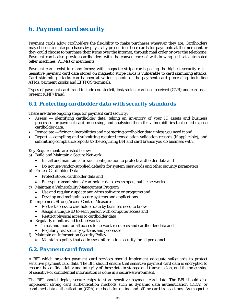# *6. Payment card security*

Payment cards allow cardholders the flexibility to make purchases wherever they are. Cardholders may choose to make purchases by physically presenting these cards for payments at the merchant or they could choose to purchase their items over the internet, through mail order or over the telephone. Payment cards also provide cardholders with the convenience of withdrawing cash at automated teller machines (ATMs) or merchants.

Payment cards exist in many forms; with magnetic stripe cards posing the highest security risks. Sensitive payment card data stored on magnetic stripe cards is vulnerable to card skimming attacks. Card skimming attacks can happen at various points of the payment card processing, including ATMs, payment kiosks and EFTPOS terminals.

Types of payment card fraud include counterfeit, lost/stolen, card-not-received (CNR) and card-notpresent (CNP) fraud.

## *6.1. Protecting cardholder data with security standards*

There are three ongoing steps for payment card security:

- Assess identifying cardholder data, taking an inventory of your IT assets and business processes for payment card processing, and analysing them for vulnerabilities that could expose cardholder data.
- Remediate fixing vulnerabilities and not storing cardholder data unless you need it and
- Report compiling and submitting required remediation validation records (if applicable), and submitting compliance reports to the acquiring BFI and card brands you do business with.

Key Requirements are listed below:

- a) Build and Maintain a Secure Network
	- Install and maintain a firewall configuration to protect cardholder data and
	- Do not use vendor-supplied defaults for system passwords and other security parameters
- b) Protect Cardholder Data
	- Protect stored cardholder data and
	- Encrypt transmission of cardholder data across open, public networks
- c) Maintain a Vulnerability Management Program
	- Use and regularly update anti-virus software or programs and
	- Develop and maintain secure systems and applications
- d) Implement Strong Access Control Measures
	- Restrict access to cardholder data by business need to know
	- Assign a unique ID to each person with computer access and
	- Restrict physical access to cardholder data
- e) Regularly monitor and test networks
	- Track and monitor all access to network resources and cardholder data and
	- Regularly test security systems and processes
- f) Maintain an Information Security Policy
	- Maintain a policy that addresses information security for all personnel

## *6.2. Payment card fraud*

A BFI which provides payment card services should implement adequate safeguards to protect sensitive payment card data. The BFI should ensure that sensitive payment card data is encrypted to ensure the confidentiality and integrity of these data in storage and transmission, and the processing of sensitive or confidential information is done in a secure environment.

The BFI should deploy secure chips to store sensitive payment card data. The BFI should also implement strong card authentication methods such as dynamic data authentication (DDA) or combined data authentication (CDA) methods for online and offline card transactions. As magnetic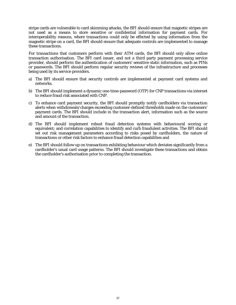stripe cards are vulnerable to card skimming attacks, the BFI should ensure that magnetic stripes are not used as a means to store sensitive or confidential information for payment cards. For interoperability reasons, where transactions could only be effected by using information from the magnetic stripe on a card, the BFI should ensure that adequate controls are implemented to manage these transactions.

For transactions that customers perform with their ATM cards, the BFI should only allow online transaction authorisation. The BFI card issuer, and not a third party payment processing service provider, should perform the authentication of customers' sensitive static information, such as PINs or passwords. The BFI should perform regular security reviews of the infrastructure and processes being used by its service providers.

- a) The BFI should ensure that security controls are implemented at payment card systems and networks.
- b) The BFI should implement a dynamic one-time-password (OTP) for CNP transactions via internet to reduce fraud risk associated with CNP.
- c) To enhance card payment security, the BFI should promptly notify cardholders via transaction alerts when withdrawals/charges exceeding customer-defined thresholds made on the customers' payment cards. The BFI should include in the transaction alert, information such as the source and amount of the transaction.
- d) The BFI should implement robust fraud detection systems with behavioural scoring or equivalent; and correlation capabilities to identify and curb fraudulent activities. The BFI should set out risk management parameters according to risks posed by cardholders, the nature of transactions or other risk factors to enhance fraud detection capabilities and
- e) The BFI should follow up on transactions exhibiting behaviour which deviates significantly from a cardholder's usual card usage patterns. The BFI should investigate these transactions and obtain the cardholder's authorisation prior to completing the transaction.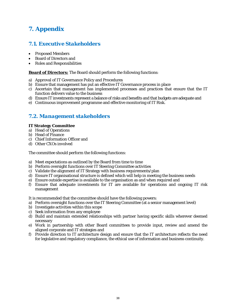# *7. Appendix*

## *7.1. Executive Stakeholders*

- Proposed Members
- Board of Directors and
- Roles and Responsibilities

#### **Board of Directors:** The Board should perform the following functions:

- a) Approval of IT Governance Policy and Procedures
- b) Ensure that management has put an effective IT Governance process in place
- c) Ascertain that management has implemented processes and practices that ensure that the IT function delivers value to the business
- d) Ensure IT investments represent a balance of risks and benefits and that budgets are adequate and
- e) Continuous improvement programme and effective monitoring of IT Risk.

## *7.2. Management stakeholders*

#### **IT Strategy Committee**

- a) Head of Operations
- b) Head of Finance
- c) Chief Information Officer and
- d) Other CXOs involved

The committee should perform the following functions:

- a) Meet expectations as outlined by the Board from time to time
- b) Perform oversight functions over IT Steering Committee activities
- c) Validate the alignment of IT Strategy with business requirements/plan
- d) Ensure IT organisational structure is defined which will help in meeting the business needs
- e) Ensure outside expertise is available to the organisation as and when required and
- f) Ensure that adequate investments for IT are available for operations and ongoing IT risk management

It is recommended that the committee should have the following powers:

- a) Perform oversight functions over the IT Steering Committee (at a senior management level)
- b) Investigate activities within this scope
- c) Seek information from any employee
- d) Build and maintain extended relationships with partner having specific skills wherever deemed necessary
- e) Work in partnership with other Board committees to provide input, review and amend the aligned corporate and IT strategies and
- f) Provide direction to IT architecture design and ensure that the IT architecture reflects the need for legislative and regulatory compliance, the ethical use of information and business continuity.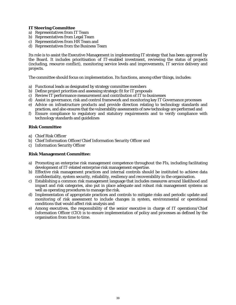#### **IT Steering Committee**

- a) Representatives from IT Team
- b) Representatives from Legal Team
- c) Representatives from HR Team and
- d) Representatives from the Business Team

Its role is to assist the Executive Management in implementing IT strategy that has been approved by the Board. It includes prioritisation of IT-enabled investment, reviewing the status of projects (including, resource conflict), monitoring service levels and improvements, IT service delivery and projects.

The committee should focus on implementation. Its functions, among other things, includes:

- a) Functional leads as designated by strategy committee members
- b) Define project priorities and assessing strategic fit for IT proposals
- c) Review IT performance measurement and contribution of IT to businesses
- d) Assist in governance, risk and control framework and monitoring key IT Governance processes
- e) Advice on infrastructure products and provide direction relating to technology standards and practices, and also ensures that the vulnerability assessments of new technology are performed and
- f) Ensure compliance to regulatory and statutory requirements and to verify compliance with technology standards and guidelines

#### **Risk Committee**

- a) Chief Risk Officer
- b) Chief Information Officer/Chief Information Security Officer and
- c) Information Security Officer

#### **Risk Management Committee:**

- a) Promoting an enterprise risk management competence throughout the FIs, including facilitating development of IT-related enterprise risk management expertise.
- b) Effective risk management practices and internal controls should be instituted to achieve data confidentiality, system security, reliability, resiliency and recoverability in the organisation.
- c) Establishing a common risk management language that includes measures around likelihood and impact and risk categories, also put in place adequate and robust risk management systems as well as operating procedures to manage the risk.
- d) Implementation of appropriate practices and controls to mitigate risks and periodic update and monitoring of risk assessment to include changes in system, environmental or operational conditions that would affect risk analysis and
- e) Among executives, the responsibility of the senior executive in charge of IT operations/Chief Information Officer (CIO) is to ensure implementation of policy and processes as defined by the organisation from time to time.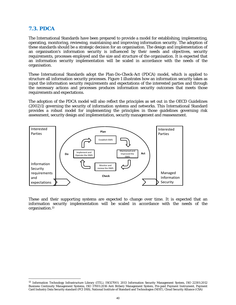## *7.3. PDCA*

 $\overline{a}$ 

The International Standards have been prepared to provide a model for establishing, implementing, operating, monitoring, reviewing, maintaining and improving information security. The adoption of these standards should be a strategic decision for an organisation. The design and implementation of an organisation's information security is influenced by their needs and objectives, security requirements, processes employed and the size and structure of the organisation. It is expected that an information security implementation will be scaled in accordance with the needs of the organisation.

These International Standards adopt the Plan-Do-Check-Act (PDCA) model, which is applied to structure all information security processes. Figure 1 illustrates how an information security takes as input the information security requirements and expectations of the interested parties and through the necessary actions and processes produces information security outcomes that meets those requirements and expectations.

The adoption of the PDCA model will also reflect the principles as set out in the OECD Guidelines (2002)1) governing the security of information systems and networks. This International Standard provides a robust model for implementing the principles in those guidelines governing risk assessment, security design and implementation, security management and reassessment.



These and their supporting systems are expected to change over time. It is expected that an information security implementation will be scaled in accordance with the needs of the organisation.13

<sup>13</sup> Information Technology Infrastructure Library (ITIL), ISO27001: 2013 Information Security Management System, ISO 22301:2012 Business Continuity Management Systems, ISO 37001:2016 Anti Bribery Management System, Pre-paid Payment Instrument, Payment Card Industry Data Security standard (PCI DSS), National Institute of Standard and Technologies (NIST), Cloud Security Alliance (CSA)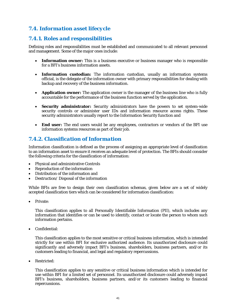## *7.4. Information asset lifecycle*

## *7.4.1. Roles and responsibilities*

Defining roles and responsibilities must be established and communicated to all relevant personnel and management. Some of the major ones include:

- **Information owner:** This is a business executive or business manager who is responsible for a BFI's business information assets.
- **Information custodian:** The information custodian, usually an information systems official, is the delegate of the information owner with primary responsibilities for dealing with backup and recovery of the business information.
- **Application owner:** The application owner is the manager of the business line who is fully accountable for the performance of the business function served by the application.
- **Security administrator:** Security administrators have the powers to set system-wide security controls or administer user IDs and information resource access rights. These security administrators usually report to the Information Security function and
- **End user:** The end users would be any employees, contractors or vendors of the BFI use information systems resources as part of their job.

## *7.4.2. Classification of Information*

Information classification is defined as the process of assigning an appropriate level of classification to an information asset to ensure it receives an adequate level of protection. The BFIs should consider the following criteria for the classification of information:

- Physical and administrative Controls
- Reproduction of the information
- Distribution of the information and
- Destruction/ Disposal of the information

While BFIs are free to design their own classification schemas, given below are a set of widely accepted classification tiers which can be considered for information classification:

Private:

This classification applies to all Personally Identifiable Information (PII), which includes any information that identifies or can be used to identify, contact or locate the person to whom such information pertains.

Confidential:

This classification applies to the most sensitive or critical business information, which is intended strictly for use within BFI for exclusive authorized audience. Its unauthorized disclosure could significantly and adversely impact BFI's business, shareholders, business partners, and/or its customers leading to financial, and legal and regulatory repercussions.

Restricted:

This classification applies to any sensitive or critical business information which is intended for use within BFI for a limited set of personnel. Its unauthorized disclosure could adversely impact BFI's business, shareholders, business partners, and/or its customers leading to financial repercussions.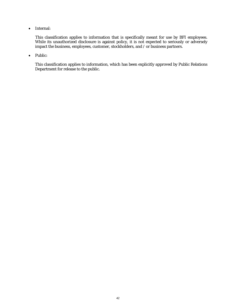• Internal:

 This classification applies to information that is specifically meant for use by BFI employees. While its unauthorized disclosure is against policy, it is not expected to seriously or adversely impact the business, employees, customer, stockholders, and / or business partners.

• Public:

This classification applies to information, which has been explicitly approved by Public Relations Department for release to the public.